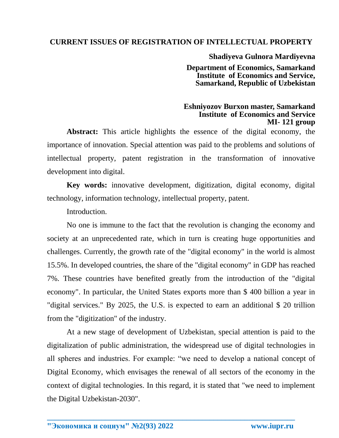## **CURRENT ISSUES OF REGISTRATION OF INTELLECTUAL PROPERTY**

**Shadiyeva Gulnora Mardiyevna**

#### **Department of Economics, Samarkand Institute of Economics and Service, Samarkand, Republic of Uzbekistan**

#### **Eshniyozov Burxon master, Samarkand Institute of Economics and Service MI- 121 group**

**Abstract:** This article highlights the essence of the digital economy, the importance of innovation. Special attention was paid to the problems and solutions of intellectual property, patent registration in the transformation of innovative development into digital.

**Key words:** innovative development, digitization, digital economy, digital technology, information technology, intellectual property, patent.

Introduction.

No one is immune to the fact that the revolution is changing the economy and society at an unprecedented rate, which in turn is creating huge opportunities and challenges. Currently, the growth rate of the "digital economy" in the world is almost 15.5%. In developed countries, the share of the "digital economy" in GDP has reached 7%. These countries have benefited greatly from the introduction of the "digital economy". In particular, the United States exports more than \$ 400 billion a year in "digital services." By 2025, the U.S. is expected to earn an additional \$ 20 trillion from the "digitization" of the industry.

At a new stage of development of Uzbekistan, special attention is paid to the digitalization of public administration, the widespread use of digital technologies in all spheres and industries. For example: "we need to develop a national concept of Digital Economy, which envisages the renewal of all sectors of the economy in the context of digital technologies. In this regard, it is stated that "we need to implement the Digital Uzbekistan-2030".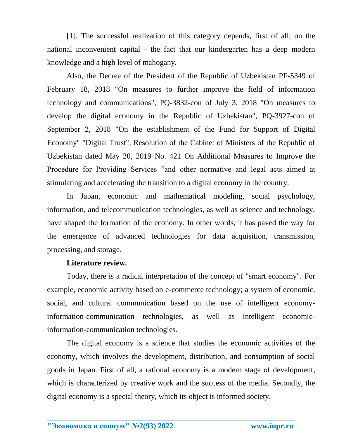[1]. The successful realization of this category depends, first of all, on the national inconvenient capital - the fact that our kindergarten has a deep modern knowledge and a high level of mahogany.

Also, the Decree of the President of the Republic of Uzbekistan PF-5349 of February 18, 2018 "On measures to further improve the field of information technology and communications", PQ-3832-con of July 3, 2018 "On measures to develop the digital economy in the Republic of Uzbekistan", PQ-3927-con of September 2, 2018 "On the establishment of the Fund for Support of Digital Economy" "Digital Trust", Resolution of the Cabinet of Ministers of the Republic of Uzbekistan dated May 20, 2019 No. 421 On Additional Measures to Improve the Procedure for Providing Services "and other normative and legal acts aimed at stimulating and accelerating the transition to a digital economy in the country.

In Japan, economic and mathematical modeling, social psychology, information, and telecommunication technologies, as well as science and technology, have shaped the formation of the economy. In other words, it has paved the way for the emergence of advanced technologies for data acquisition, transmission, processing, and storage.

### **Literature review.**

Today, there is a radical interpretation of the concept of "smart economy". For example, economic activity based on e-commerce technology; a system of economic, social, and cultural communication based on the use of intelligent economyinformation-communication technologies, as well as intelligent economicinformation-communication technologies.

The digital economy is a science that studies the economic activities of the economy, which involves the development, distribution, and consumption of social goods in Japan. First of all, a rational economy is a modern stage of development, which is characterized by creative work and the success of the media. Secondly, the digital economy is a special theory, which its object is informed society.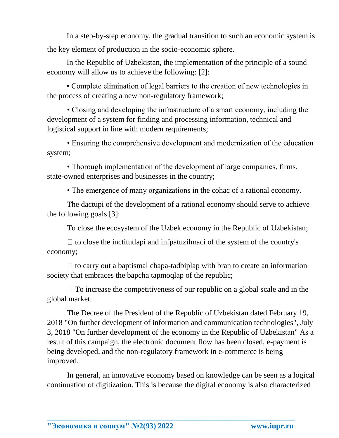In a step-by-step economy, the gradual transition to such an economic system is the key element of production in the socio-economic sphere.

In the Republic of Uzbekistan, the implementation of the principle of a sound economy will allow us to achieve the following: [2]:

• Complete elimination of legal barriers to the creation of new technologies in the process of creating a new non-regulatory framework;

• Closing and developing the infrastructure of a smart economy, including the development of a system for finding and processing information, technical and logistical support in line with modern requirements;

• Ensuring the comprehensive development and modernization of the education system;

• Thorough implementation of the development of large companies, firms, state-owned enterprises and businesses in the country;

• The emergence of many organizations in the cohac of a rational economy.

The dactupi of the development of a rational economy should serve to achieve the following goals [3]:

To close the ecosystem of the Uzbek economy in the Republic of Uzbekistan;

 $\Box$  to close the inctitutlapi and infpatuzilmaci of the system of the country's economy;

 $\Box$  to carry out a baptismal chapa-tadbiplap with bran to create an information society that embraces the bapcha tapmoqlap of the republic;

 $\Box$  To increase the competitiveness of our republic on a global scale and in the global market.

The Decree of the President of the Republic of Uzbekistan dated February 19, 2018 "On further development of information and communication technologies", July 3, 2018 "On further development of the economy in the Republic of Uzbekistan" As a result of this campaign, the electronic document flow has been closed, e-payment is being developed, and the non-regulatory framework in e-commerce is being improved.

In general, an innovative economy based on knowledge can be seen as a logical continuation of digitization. This is because the digital economy is also characterized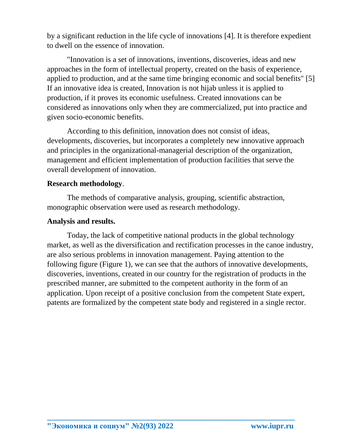by a significant reduction in the life cycle of innovations [4]. It is therefore expedient to dwell on the essence of innovation.

"Innovation is a set of innovations, inventions, discoveries, ideas and new approaches in the form of intellectual property, created on the basis of experience, applied to production, and at the same time bringing economic and social benefits" [5] If an innovative idea is created, Innovation is not hijab unless it is applied to production, if it proves its economic usefulness. Created innovations can be considered as innovations only when they are commercialized, put into practice and given socio-economic benefits.

According to this definition, innovation does not consist of ideas, developments, discoveries, but incorporates a completely new innovative approach and principles in the organizational-managerial description of the organization, management and efficient implementation of production facilities that serve the overall development of innovation.

# **Research methodology**.

The methods of comparative analysis, grouping, scientific abstraction, monographic observation were used as research methodology.

# **Analysis and results.**

Today, the lack of competitive national products in the global technology market, as well as the diversification and rectification processes in the canoe industry, are also serious problems in innovation management. Paying attention to the following figure (Figure 1), we can see that the authors of innovative developments, discoveries, inventions, created in our country for the registration of products in the prescribed manner, are submitted to the competent authority in the form of an application. Upon receipt of a positive conclusion from the competent State expert, patents are formalized by the competent state body and registered in a single rector.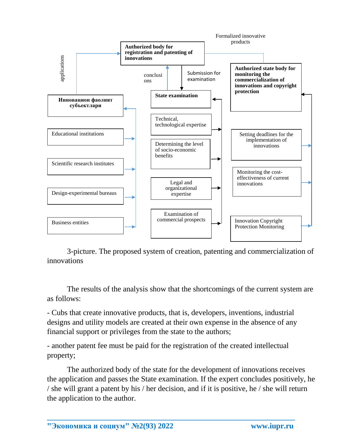

3-picture. The proposed system of creation, patenting and commercialization of innovations

The results of the analysis show that the shortcomings of the current system are as follows:

- Cubs that create innovative products, that is, developers, inventions, industrial designs and utility models are created at their own expense in the absence of any financial support or privileges from the state to the authors;

- another patent fee must be paid for the registration of the created intellectual property;

**\_\_\_\_\_\_\_\_\_\_\_\_\_\_\_\_\_\_\_\_\_\_\_\_\_\_\_\_\_\_\_\_\_\_\_\_\_\_\_\_\_\_\_\_\_\_\_\_\_\_\_\_\_\_\_\_\_\_\_\_\_\_\_\_**

The authorized body of the state for the development of innovations receives the application and passes the State examination. If the expert concludes positively, he / she will grant a patent by his / her decision, and if it is positive, he / she will return the application to the author.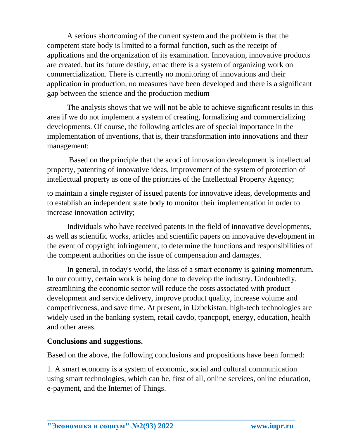A serious shortcoming of the current system and the problem is that the competent state body is limited to a formal function, such as the receipt of applications and the organization of its examination. Innovation, innovative products are created, but its future destiny, emac there is a system of organizing work on commercialization. There is currently no monitoring of innovations and their application in production, no measures have been developed and there is a significant gap between the science and the production medium

The analysis shows that we will not be able to achieve significant results in this area if we do not implement a system of creating, formalizing and commercializing developments. Of course, the following articles are of special importance in the implementation of inventions, that is, their transformation into innovations and their management:

Based on the principle that the acoci of innovation development is intellectual property, patenting of innovative ideas, improvement of the system of protection of intellectual property as one of the priorities of the Intellectual Property Agency;

to maintain a single register of issued patents for innovative ideas, developments and to establish an independent state body to monitor their implementation in order to increase innovation activity;

Individuals who have received patents in the field of innovative developments, as well as scientific works, articles and scientific papers on innovative development in the event of copyright infringement, to determine the functions and responsibilities of the competent authorities on the issue of compensation and damages.

In general, in today's world, the kiss of a smart economy is gaining momentum. In our country, certain work is being done to develop the industry. Undoubtedly, streamlining the economic sector will reduce the costs associated with product development and service delivery, improve product quality, increase volume and competitiveness, and save time. At present, in Uzbekistan, high-tech technologies are widely used in the banking system, retail cavdo, tpancpopt, energy, education, health and other areas.

# **Conclusions and suggestions.**

Based on the above, the following conclusions and propositions have been formed:

1. A smart economy is a system of economic, social and cultural communication using smart technologies, which can be, first of all, online services, online education, e-payment, and the Internet of Things.